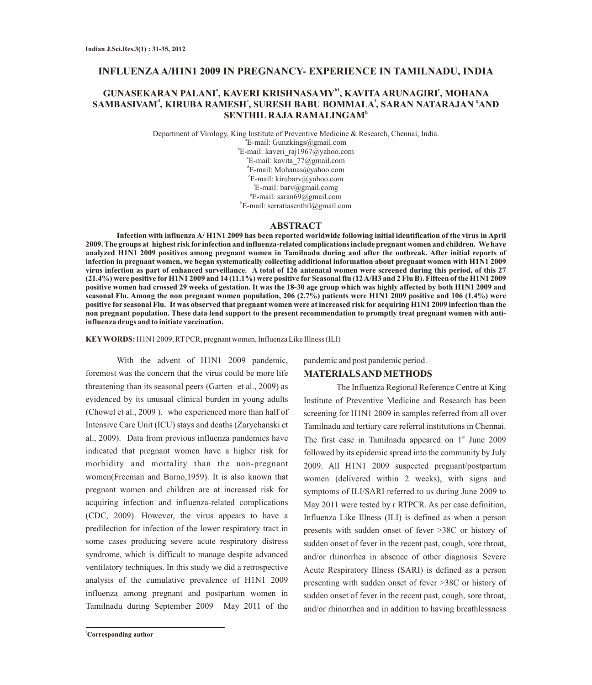## **INFLUENZAA/H1N1 2009 IN PREGNANCY- EXPERIENCE IN TAMILNADU, INDIA**

# **<sup>a</sup> b1 <sup>c</sup> GUNASEKARAN PALANI , KAVERI KRISHNASAMY , KAVITAARUNAGIRI , MOHANA**  $\bf SAMBASIVAM^d, KIRUBA\ RAMESH^e, SURESH\ BABU\ BOMMALA^f, SARAN\ NATARAJAN\ ^a AND$ **h SENTHIL RAJA RAMALINGAM**

Department of Virology, King Institute of Preventive Medicine & Research, Chennai, India.

a E-mail: Gunzkings@gmail.com b E-mail: kaveri\_raj1967@yahoo.com c E-mail: kavita\_77@gmail.com d E-mail: Mohanas@yahoo.com e E-mail: kirubarv@yahoo.com f E-mail: barv@gmail.comg g E-mail: saran69@gmail.com h E-mail: serratiasenthil@gmail.com

#### **ABSTRACT**

**Infection with influenza A/ H1N1 2009 has been reported worldwide following initial identification of the virus in April 2009. The groups at highest risk for infection and influenza-related complications include pregnant women and children. We have analyzed H1N1 2009 positives among pregnant women in Tamilnadu during and after the outbreak. After initial reports of infection in pregnant women, we began systematically collecting additional information about pregnant women with H1N1 2009 virus infection as part of enhanced surveillance. A total of 126 antenatal women were screened during this period, of this 27 (21.4%) were positive forH1N1 2009 and 14 (11.1%) were positive for Seasonal flu (12 A/H3 and 2 Flu B). Fifteen of the H1N1 2009 positive women had crossed 29 weeks of gestation. It was the 18-30 age group which was highly affected by both H1N1 2009 and seasonal Flu. Among the non pregnant women population, 206 (2.7%) patients were H1N1 2009 positive and 106 (1.4%) were positive for seasonal Flu. It was observed that pregnant women were at increased risk for acquiring H1N1 2009 infection than the non pregnant population. These data lend support to the present recommendation to promptly treat pregnant women with antiinfluenza drugs and to initiate vaccination.**

**KEYWORDS:** H1N1 2009, RTPCR, pregnant women, Influenza Like Illness (ILI)

With the advent of H1N1 2009 pandemic, foremost was the concern that the virus could be more life threatening than its seasonal peers (Garten et al., 2009) as evidenced by its unusual clinical burden in young adults (Chowel et al., 2009 ). who experienced more than half of Intensive Care Unit (ICU) stays and deaths (Zarychanski et al., 2009). Data from previous influenza pandemics have indicated that pregnant women have a higher risk for morbidity and mortality than the non-pregnant women(Freeman and Barno,1959). It is also known that pregnant women and children are at increased risk for acquiring infection and influenza-related complications (CDC, 2009). However, the virus appears to have a predilection for infection of the lower respiratory tract in some cases producing severe acute respiratory distress syndrome, which is difficult to manage despite advanced ventilatory techniques. In this study we did a retrospective analysis of the cumulative prevalence of H1N1 2009 influenza among pregnant and postpartum women in Tamilnadu during September 2009 May 2011 of the

**<sup>1</sup>Corresponding author**

pandemic and post pandemic period.

## **MATERIALS AND METHODS**

The Influenza Regional Reference Centre at King Institute of Preventive Medicine and Research has been screening for H1N1 2009 in samples referred from all over Tamilnadu and tertiary care referral institutions in Chennai. The first case in Tamilnadu appeared on  $1<sup>st</sup>$  June 2009 followed by its epidemic spread into the community by July 2009. All H1N1 2009 suspected pregnant/postpartum women (delivered within 2 weeks), with signs and symptoms of ILI/SARI referred to us during June 2009 to May 2011 were tested by r RTPCR. As per case definition, Influenza Like Illness (ILI) is defined as when a person presents with sudden onset of fever >38C or history of sudden onset of fever in the recent past, cough, sore throat, . and/or rhinorrhea in absence of other diagnosis Severe Acute Respiratory Illness (SARI) is defined as a person presenting with sudden onset of fever >38C or history of sudden onset of fever in the recent past, cough, sore throat, and/or rhinorrhea and in addition to having breathlessness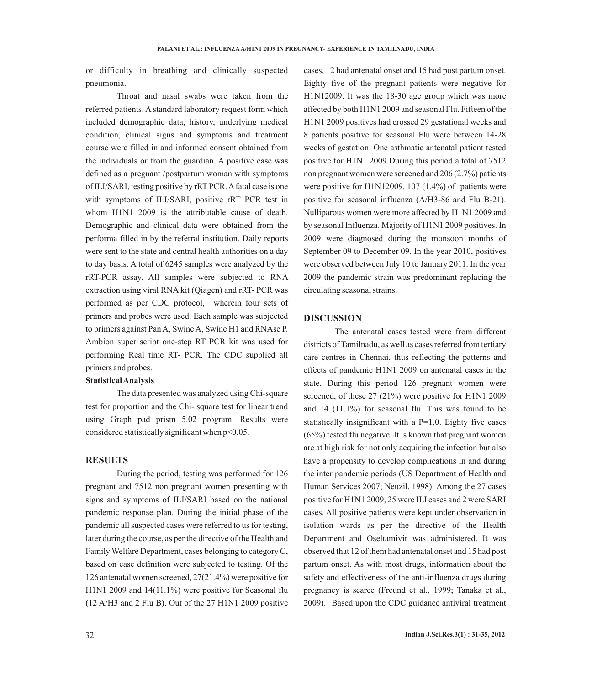or difficulty in breathing and clinically suspected pneumonia.

Throat and nasal swabs were taken from the referred patients. A standard laboratory request form which included demographic data, history, underlying medical condition, clinical signs and symptoms and treatment course were filled in and informed consent obtained from the individuals or from the guardian. A positive case was defined as a pregnant /postpartum woman with symptoms of ILI/SARI, testing positive by rRTPCR. Afatal case is one with symptoms of ILI/SARI, positive rRT PCR test in whom H1N1 2009 is the attributable cause of death. Demographic and clinical data were obtained from the performa filled in by the referral institution. Daily reports were sent to the state and central health authorities on a day to day basis. A total of 6245 samples were analyzed by the rRT-PCR assay. All samples were subjected to RNA extraction using viral RNA kit (Qiagen) and rRT- PCR was performed as per CDC protocol, wherein four sets of primers and probes were used. Each sample was subjected to primers against Pan A, Swine A, Swine H1 and RNAse P. Ambion super script one-step RT PCR kit was used for performing Real time RT- PCR. The CDC supplied all primers and probes.

#### **Statistical Analysis**

The data presented was analyzed using Chi-square test for proportion and the Chi- square test for linear trend using Graph pad prism 5.02 program. Results were considered statistically significant when p<0.05.

## **RESULTS**

During the period, testing was performed for 126 pregnant and 7512 non pregnant women presenting with signs and symptoms of ILI/SARI based on the national pandemic response plan. During the initial phase of the pandemic all suspected cases were referred to us for testing, later during the course, as per the directive of the Health and Family Welfare Department, cases belonging to category C, based on case definition were subjected to testing. Of the 126 antenatal women screened, 27(21.4%) were positive for H1N1 2009 and 14(11.1%) were positive for Seasonal flu (12 A/H3 and 2 Flu B). Out of the 27 H1N1 2009 positive

cases, 12 had antenatal onset and 15 had post partum onset. Eighty five of the pregnant patients were negative for H1N12009. It was the 18-30 age group which was more affected by both H1N1 2009 and seasonal Flu. Fifteen of the H1N1 2009 positives had crossed 29 gestational weeks and 8 patients positive for seasonal Flu were between 14-28 weeks of gestation. One asthmatic antenatal patient tested positive for H1N1 2009.During this period a total of 7512 non pregnant women were screened and 206 (2.7%) patients were positive for H1N12009. 107 (1.4%) of patients were positive for seasonal influenza (A/H3-86 and Flu B-21). Nulliparous women were more affected by H1N1 2009 and by seasonal Influenza. Majority of H1N1 2009 positives. In 2009 were diagnosed during the monsoon months of September 09 to December 09. In the year 2010, positives were observed between July 10 to January 2011. In the year 2009 the pandemic strain was predominant replacing the circulating seasonal strains.

### **DISCUSSION**

The antenatal cases tested were from different districts of Tamilnadu, as well as cases referred from tertiary care centres in Chennai, thus reflecting the patterns and effects of pandemic H1N1 2009 on antenatal cases in the state. During this period 126 pregnant women were screened, of these 27 (21%) were positive for H1N1 2009 and 14 (11.1%) for seasonal flu. This was found to be statistically insignificant with a  $P=1.0$ . Eighty five cases (65%) tested flu negative. It is known that pregnant women are at high risk for not only acquiring the infection but also have a propensity to develop complications in and during the inter pandemic periods (US Department of Health and Human Services 2007; Neuzil, 1998). Among the 27 cases positive for H1N1 2009, 25 were ILI cases and 2 were SARI cases. All positive patients were kept under observation in isolation wards as per the directive of the Health Department and Oseltamivir was administered. It was observed that 12 of them had antenatal onset and 15 had post partum onset. As with most drugs, information about the safety and effectiveness of the anti-influenza drugs during pregnancy is scarce (Freund et al., 1999; Tanaka et al., 2009). Based upon the CDC guidance antiviral treatment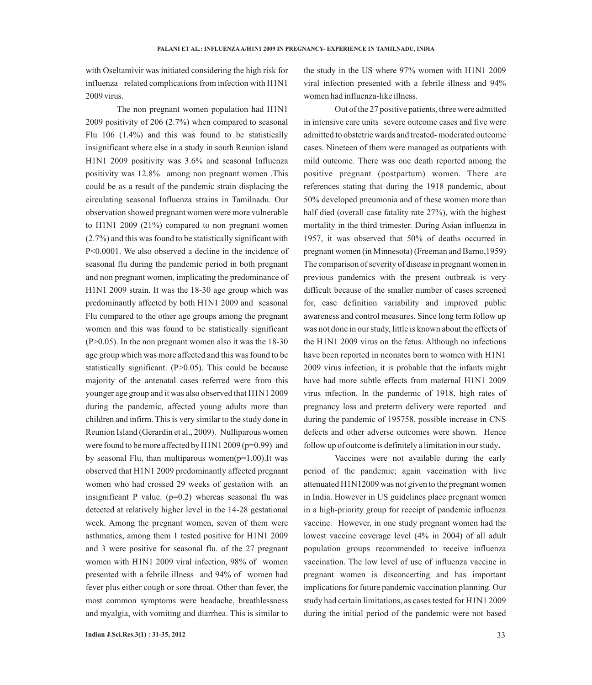with Oseltamivir was initiated considering the high risk for influenza related complications from infection with H1N1 2009 virus.

The non pregnant women population had H1N1 2009 positivity of 206 (2.7%) when compared to seasonal Flu 106 (1.4%) and this was found to be statistically insignificant where else in a study in south Reunion island H1N1 2009 positivity was 3.6% and seasonal Influenza positivity was 12.8% among non pregnant women .This could be as a result of the pandemic strain displacing the circulating seasonal Influenza strains in Tamilnadu. Our observation showed pregnant women were more vulnerable to H1N1 2009 (21%) compared to non pregnant women (2.7%) and this was found to be statistically significant with P<0.0001. We also observed a decline in the incidence of seasonal flu during the pandemic period in both pregnant and non pregnant women, implicating the predominance of H1N1 2009 strain. It was the 18-30 age group which was predominantly affected by both H1N1 2009 and seasonal Flu compared to the other age groups among the pregnant women and this was found to be statistically significant  $(P>0.05)$ . In the non pregnant women also it was the 18-30 age group which was more affected and this was found to be statistically significant. (P>0.05). This could be because majority of the antenatal cases referred were from this younger age group and it was also observed that H1N1 2009 during the pandemic, affected young adults more than children and infirm. This is very similar to the study done in Reunion Island (Gerardin et al., 2009). Nulliparous women were found to be more affected by H1N1 2009 (p=0.99) and by seasonal Flu, than multiparous women $(p=1.00)$ . It was observed that H1N1 2009 predominantly affected pregnant women who had crossed 29 weeks of gestation with an insignificant P value.  $(p=0.2)$  whereas seasonal flu was detected at relatively higher level in the 14-28 gestational week. Among the pregnant women, seven of them were asthmatics, among them 1 tested positive for H1N1 2009 and 3 were positive for seasonal flu. of the 27 pregnant women with H1N1 2009 viral infection, 98% of women presented with a febrile illness and 94% of women had fever plus either cough or sore throat. Other than fever, the most common symptoms were headache, breathlessness and myalgia, with vomiting and diarrhea. This is similar to

the study in the US where 97% women with H1N1 2009 viral infection presented with a febrile illness and 94% women had influenza-like illness.

Out of the 27 positive patients, three were admitted in intensive care units severe outcome cases and five were admitted to obstetric wards and treated- moderated outcome cases. Nineteen of them were managed as outpatients with mild outcome. There was one death reported among the positive pregnant (postpartum) women. There are references stating that during the 1918 pandemic, about 50% developed pneumonia and of these women more than half died (overall case fatality rate 27%), with the highest mortality in the third trimester. During Asian influenza in 1957, it was observed that 50% of deaths occurred in pregnant women (in Minnesota) (Freeman and Barno,1959) The comparison of severity of disease in pregnant women in previous pandemics with the present outbreak is very difficult because of the smaller number of cases screened for, case definition variability and improved public awareness and control measures. Since long term follow up was not done in our study, little is known about the effects of the H1N1 2009 virus on the fetus. Although no infections have been reported in neonates born to women with H1N1 2009 virus infection, it is probable that the infants might have had more subtle effects from maternal H1N1 2009 virus infection. In the pandemic of 1918, high rates of pregnancy loss and preterm delivery were reported and during the pandemic of 195758, possible increase in CNS defects and other adverse outcomes were shown. Hence follow up of outcome is definitely a limitation in our study**.**

Vaccines were not available during the early period of the pandemic; again vaccination with live attenuated H1N12009 was not given to the pregnant women in India. However in US guidelines place pregnant women in a high-priority group for receipt of pandemic influenza vaccine. However, in one study pregnant women had the lowest vaccine coverage level (4% in 2004) of all adult population groups recommended to receive influenza vaccination. The low level of use of influenza vaccine in pregnant women is disconcerting and has important implications for future pandemic vaccination planning. Our study had certain limitations, as cases tested for H1N1 2009 during the initial period of the pandemic were not based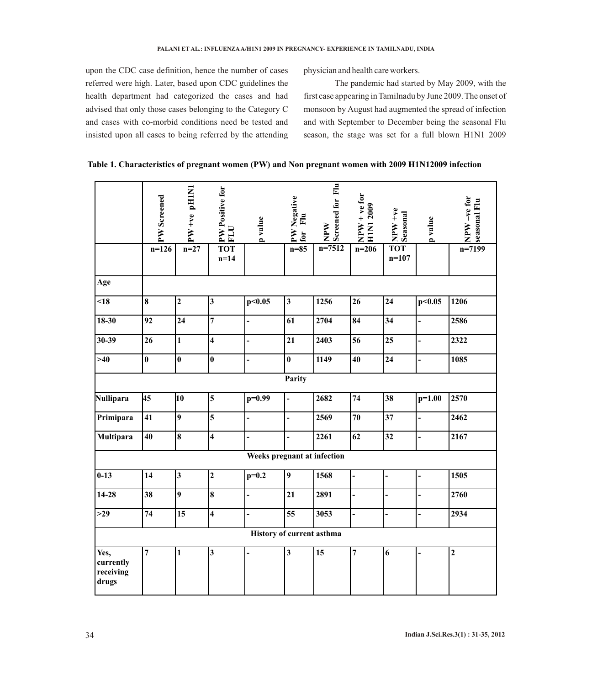upon the CDC case definition, hence the number of cases referred were high. Later, based upon CDC guidelines the health department had categorized the cases and had advised that only those cases belonging to the Category C and cases with co-morbid conditions need be tested and insisted upon all cases to being referred by the attending physician and health care workers.

The pandemic had started by May 2009, with the first case appearing in Tamilnadu by June 2009. The onset of monsoon by August had augmented the spread of infection and with September to December being the seasonal Flu season, the stage was set for a full blown H1N1 2009

**Table 1. Characteristics of pregnant women (PW) and Non pregnant women with 2009 H1N12009 infection** 

|                                         | PW Screened | PW +ve pHIN1            | PW Positive for<br><b>FLU</b> | p value                  | PW Negative<br>$E_{\rm H}$<br>for | Screened for Flu<br>WAN | $NPW + ve for$<br><b>HIN12009</b> | NPW+ve<br>Seasonal    | p value        | $NPW-ve$ for<br>seasonal Flu |
|-----------------------------------------|-------------|-------------------------|-------------------------------|--------------------------|-----------------------------------|-------------------------|-----------------------------------|-----------------------|----------------|------------------------------|
|                                         | $n=126$     | $n = 27$                | <b>TOT</b><br>$n=14$          |                          | $n=85$                            | $n=7512$                | $n=206$                           | <b>TOT</b><br>$n=107$ |                | $n=7199$                     |
| Age                                     |             |                         |                               |                          |                                   |                         |                                   |                       |                |                              |
| < 18                                    | 8           | $\overline{2}$          | $\overline{\mathbf{3}}$       | p<0.05                   | $\overline{\mathbf{3}}$           | 1256                    | 26                                | 24                    | p<0.05         | 1206                         |
| $18 - 30$                               | 92          | 24                      | $\overline{7}$                | $\frac{1}{2}$            | 61                                | 2704                    | 84                                | 34                    | $\overline{a}$ | 2586                         |
| $30 - 39$                               | 26          | $\mathbf{1}$            | $\overline{\mathbf{4}}$       | $\overline{\phantom{a}}$ | 21                                | 2403                    | 56                                | 25                    | $\overline{a}$ | 2322                         |
| $>40$                                   | $\bf{0}$    | $\bf{0}$                | $\bf{0}$                      | $\overline{\phantom{a}}$ | $\bf{0}$                          | 1149                    | 40                                | 24                    | $\overline{a}$ | 1085                         |
|                                         |             |                         |                               |                          | Parity                            |                         |                                   |                       |                |                              |
| <b>Nullipara</b>                        | 45          | 10                      | 5                             | $p=0.99$                 | $\overline{a}$                    | 2682                    | 74                                | 38                    | $p=1.00$       | 2570                         |
| Primipara                               | 41          | $\boldsymbol{9}$        | $\overline{\mathbf{5}}$       | $\blacksquare$           | $\overline{a}$                    | 2569                    | 70                                | 37                    | $\overline{a}$ | 2462                         |
| Multipara                               | 40          | 8                       | $\overline{\mathbf{4}}$       | $\overline{a}$           | $\overline{a}$                    | 2261                    | 62                                | 32                    | $\overline{a}$ | 2167                         |
| Weeks pregnant at infection             |             |                         |                               |                          |                                   |                         |                                   |                       |                |                              |
| $0 - 13$                                | 14          | $\overline{\mathbf{3}}$ | $\overline{2}$                | $p=0.2$                  | $\boldsymbol{9}$                  | 1568                    | $\overline{\phantom{0}}$          |                       | $\overline{a}$ | 1505                         |
| $14 - 28$                               | 38          | $\overline{9}$          | 8                             | $\overline{a}$           | 21                                | 2891                    | -                                 |                       | $\overline{a}$ | 2760                         |
| $>29$                                   | 74          | 15                      | $\overline{\mathbf{4}}$       | $\blacksquare$           | 55                                | 3053                    | $\overline{\phantom{0}}$          |                       | $\overline{a}$ | 2934                         |
|                                         |             |                         |                               |                          | History of current asthma         |                         |                                   |                       |                |                              |
| Yes,<br>currently<br>receiving<br>drugs | 7           | $\mathbf{1}$            | $\overline{\mathbf{3}}$       |                          | $\mathbf{3}$                      | 15                      | 7                                 | 6                     |                | $\overline{2}$               |